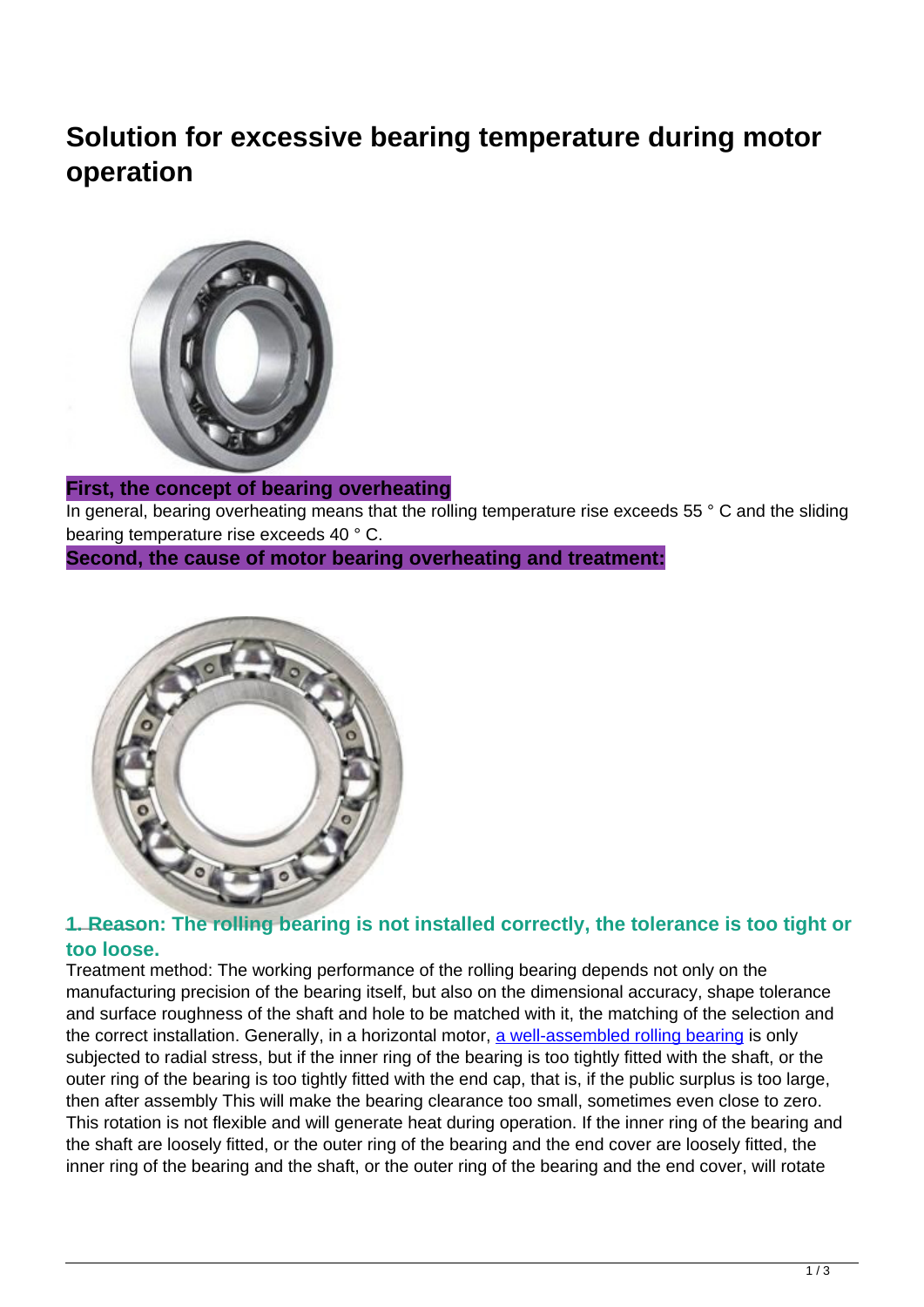# **Solution for excessive bearing temperature during motor operation**



### **First, the concept of bearing overheating**

In general, bearing overheating means that the rolling temperature rise exceeds 55 ° C and the sliding bearing temperature rise exceeds 40 ° C.

**Second, the cause of motor bearing overheating and treatment:**



#### **1. Reason: The rolling bearing is not installed correctly, the tolerance is too tight or too loose.**

Treatment method: The working performance of the rolling bearing depends not only on the manufacturing precision of the bearing itself, but also on the dimensional accuracy, shape tolerance and surface roughness of the shaft and hole to be matched with it, the matching of the selection and the correct installation. Generally, in a horizontal motor, [a well-assembled rolling bearing](http://www.ifompt.com/) is only subjected to radial stress, but if the inner ring of the bearing is too tightly fitted with the shaft, or the outer ring of the bearing is too tightly fitted with the end cap, that is, if the public surplus is too large, then after assembly This will make the bearing clearance too small, sometimes even close to zero. This rotation is not flexible and will generate heat during operation. If the inner ring of the bearing and the shaft are loosely fitted, or the outer ring of the bearing and the end cover are loosely fitted, the inner ring of the bearing and the shaft, or the outer ring of the bearing and the end cover, will rotate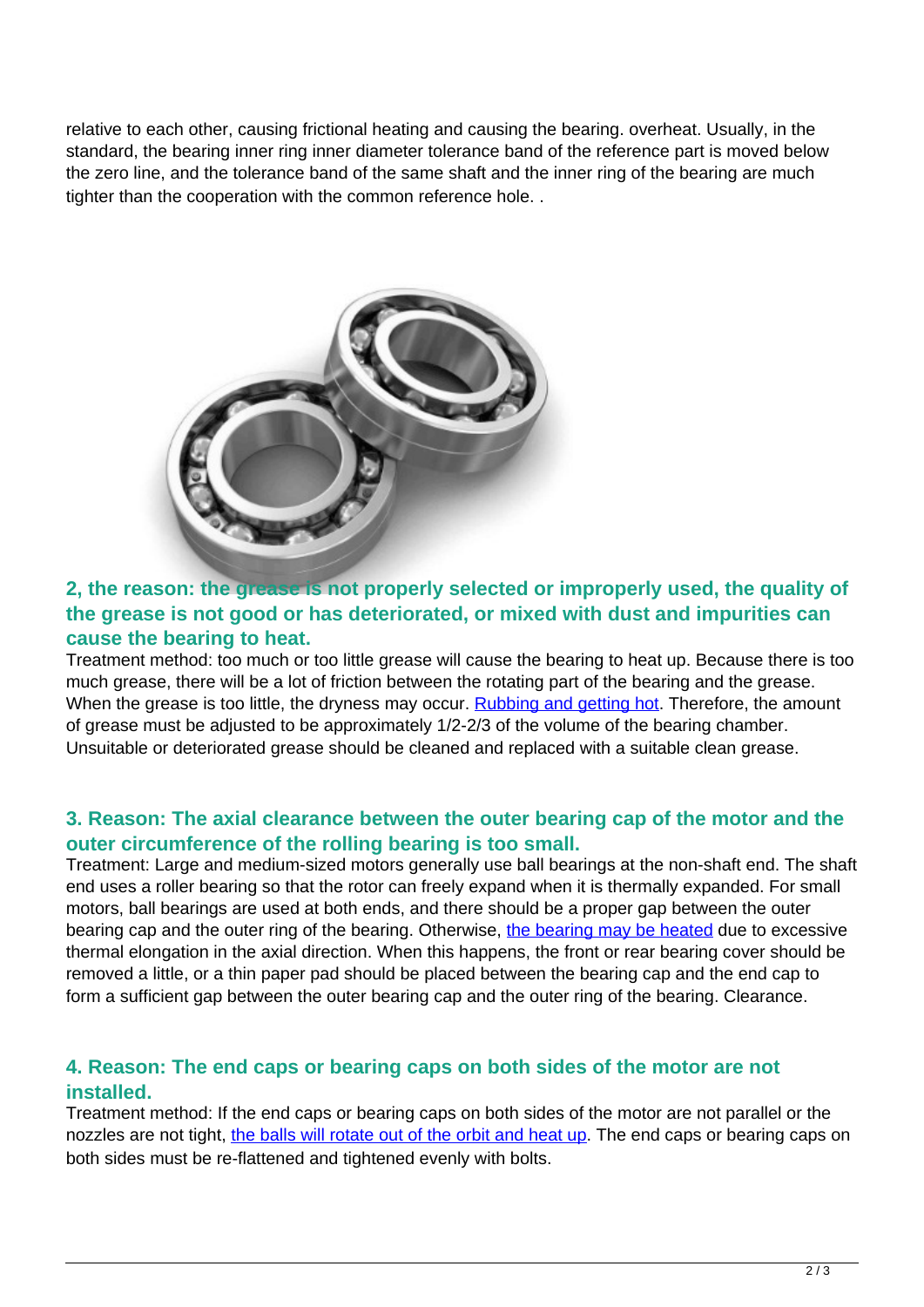relative to each other, causing frictional heating and causing the bearing. overheat. Usually, in the standard, the bearing inner ring inner diameter tolerance band of the reference part is moved below the zero line, and the tolerance band of the same shaft and the inner ring of the bearing are much tighter than the cooperation with the common reference hole. .



## **2, the reason: the grease is not properly selected or improperly used, the quality of the grease is not good or has deteriorated, or mixed with dust and impurities can cause the bearing to heat.**

Treatment method: too much or too little grease will cause the bearing to heat up. Because there is too much grease, there will be a lot of friction between the rotating part of the bearing and the grease. When the grease is too little, the dryness may occur. [Rubbing and getting hot.](http://www.ifompt.com/factory-25813-optimized-roll-bearings-for-iron-and-steel-industry) Therefore, the amount of grease must be adjusted to be approximately 1/2-2/3 of the volume of the bearing chamber. Unsuitable or deteriorated grease should be cleaned and replaced with a suitable clean grease.

### **3. Reason: The axial clearance between the outer bearing cap of the motor and the outer circumference of the rolling bearing is too small.**

Treatment: Large and medium-sized motors generally use ball bearings at the non-shaft end. The shaft end uses a roller bearing so that the rotor can freely expand when it is thermally expanded. For small motors, ball bearings are used at both ends, and there should be a proper gap between the outer bearing cap and the outer ring of the bearing. Otherwise, [the bearing may be heated](http://www.ifompt.com/factory-25814-hydrostatic-centripetal-bearing) due to excessive thermal elongation in the axial direction. When this happens, the front or rear bearing cover should be removed a little, or a thin paper pad should be placed between the bearing cap and the end cap to form a sufficient gap between the outer bearing cap and the outer ring of the bearing. Clearance.

### **4. Reason: The end caps or bearing caps on both sides of the motor are not installed.**

Treatment method: If the end caps or bearing caps on both sides of the motor are not parallel or the nozzles are not tight, [the balls will rotate out of the orbit and heat up](http://www.ifompt.com/factory-25812-special-heavy-loading-agricultural-bearing-industry). The end caps or bearing caps on both sides must be re-flattened and tightened evenly with bolts.